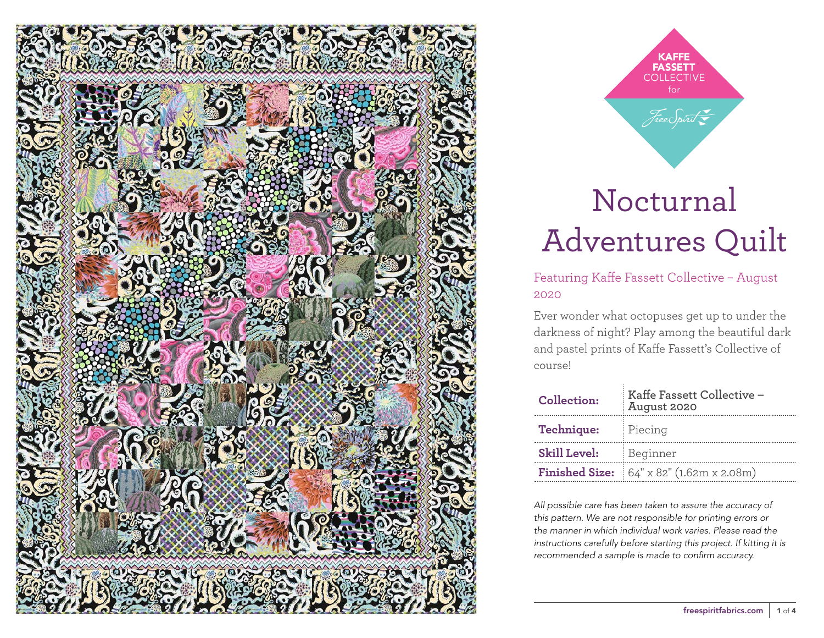

**KAFFE FASSETT** for Free Spirit

# Nocturnal Adventures Quilt

Featuring Kaffe Fassett Collective – August 2020

Ever wonder what octopuses get up to under the darkness of night? Play among the beautiful dark and pastel prints of Kaffe Fassett's Collective of course!

| Collection:         | Kaffe Fassett Collective -<br>August 2020       |  |  |
|---------------------|-------------------------------------------------|--|--|
| Technique:          | Piecing                                         |  |  |
| <b>Skill Level:</b> | Beginner                                        |  |  |
|                     | <b>Finished Size:</b> 64" x 82" (1.62m x 2.08m) |  |  |

*All possible care has been taken to assure the accuracy of this pattern. We are not responsible for printing errors or the manner in which individual work varies. Please read the instructions carefully before starting this project. If kitting it is recommended a sample is made to confirm accuracy.*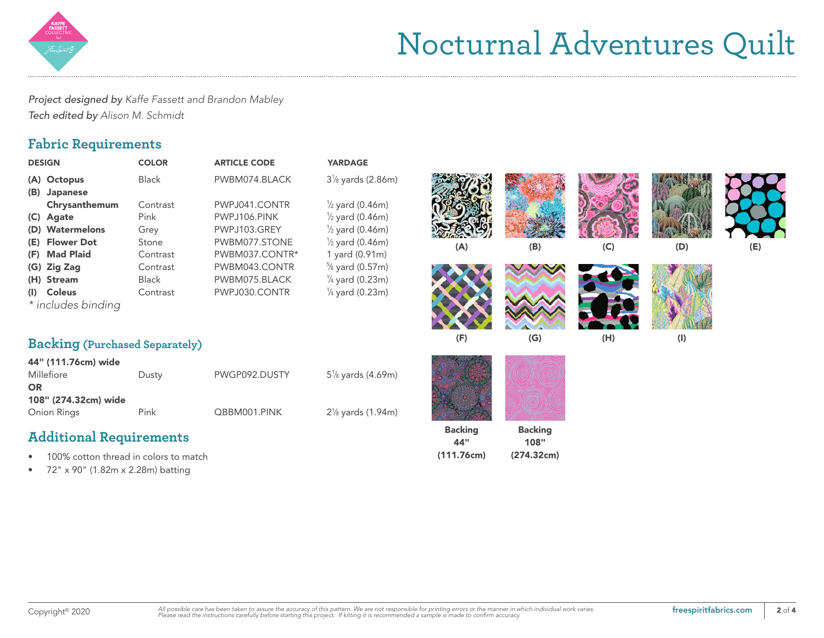

# Nocturnal Adventures Quilt

*Project designed by Kaffe Fassett and Brandon Mabley Tech edited by Alison M. Schmidt*

### **Fabric Requirements**

| <b>DESIGN</b>                         | <b>COLOR</b> | <b>ARTICLE CODE</b> | <b>YARDAGE</b>                              |     |
|---------------------------------------|--------------|---------------------|---------------------------------------------|-----|
| (A) Octopus                           | <b>Black</b> | PWBM074.BLACK       | 3 <sup>1</sup> / <sub>8</sub> yards (2.86m) |     |
| <b>Japanese</b><br>(B)                |              |                     |                                             |     |
| Chrysanthemum                         | Contrast     | PWPJ041.CONTR       | $\frac{1}{2}$ yard (0.46m)                  |     |
| Agate<br>(C)                          | Pink         | PWPJ106.PINK        | $\frac{1}{2}$ yard (0.46m)                  |     |
| <b>Watermelons</b><br>(D)             | Grey         | PWPJ103.GREY        | $\frac{1}{2}$ yard (0.46m)                  |     |
| <b>Flower Dot</b><br>(E)              | Stone        | PWBM077.STONE       | $\frac{1}{2}$ yard (0.46m)                  | ( ∕ |
| <b>Mad Plaid</b><br>(F)               | Contrast     | PWBM037.CONTR*      | 1 yard (0.91m)                              |     |
| (G)<br><b>Zig Zag</b>                 | Contrast     | PWBM043.CONTR       | $\frac{5}{8}$ yard (0.57m)                  |     |
| <b>Stream</b><br>(H)                  | <b>Black</b> | PWBM075.BLACK       | $\frac{1}{4}$ yard (0.23m)                  |     |
| <b>Coleus</b><br>(I)                  | Contrast     | PWPJ030.CONTR       | $\frac{1}{4}$ yard (0.23m)                  |     |
| * includes binding                    |              |                     |                                             |     |
|                                       |              |                     |                                             |     |
| <b>Backing (Purchased Separately)</b> |              |                     |                                             | (F  |
|                                       |              |                     |                                             |     |
| 44" (111.76cm) wide                   |              |                     |                                             |     |
| Millefiore                            | Dusty        | PWGP092.DUSTY       | 5 <sup>1</sup> / <sub>8</sub> yards (4.69m) |     |
| <b>OR</b>                             |              |                     |                                             |     |
| 108" (274.32cm) wide                  |              |                     |                                             |     |
| Onion Rings                           | Pink         | QBBM001.PINK        | 2 <sup>1</sup> / <sub>8</sub> yards (1.94m) |     |

## **Additional Requirements**

- 100% cotton thread in colors to match
- 72" x 90" (1.82m x 2.28m) batting

| ds (2.86m)<br>(0.46m)<br>(0.46m)<br>(0.46m)<br>(0.46m)<br>(0.91m) | (A)                   | (B)                    | (C) | (D)            | (E) |
|-------------------------------------------------------------------|-----------------------|------------------------|-----|----------------|-----|
| (0.57m)<br>(0.23m)<br>(0.23m)                                     | (F)                   | (G)                    | (H) | $(\mathsf{I})$ |     |
| ds (4.69m)<br>ds (1.94m)                                          |                       |                        |     |                |     |
|                                                                   | <b>Backing</b><br>44" | <b>Backing</b><br>108" |     |                |     |

(274.32cm)

(111.76cm)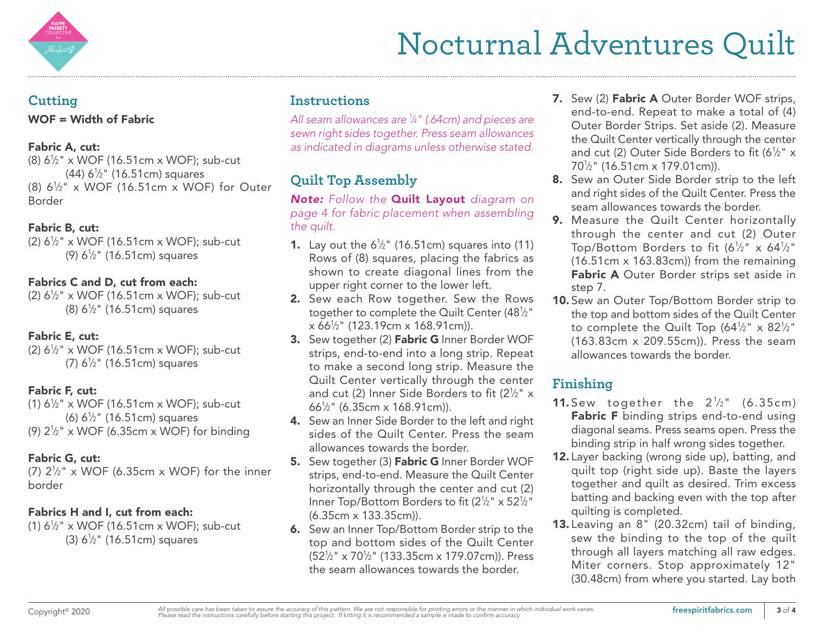

#### **Cutting**

WOF = Width of Fabric

#### Fabric A, cut:

(8) 61 ⁄2" x WOF (16.51cm x WOF); sub-cut (44) 61 ⁄2" (16.51cm) squares  $(8)$  6<sup>1</sup>/<sub>2</sub>" x WOF (16.51cm x WOF) for Outer Border

#### Fabric B, cut:

 $(2) 6<sup>1</sup>/<sub>2</sub>$ " x WOF (16.51cm x WOF); sub-cut (9) 6½" (16.51cm) squares

#### Fabrics C and D, cut from each:

 $(2) 6\frac{1}{2}$  x WOF (16.51cm x WOF); sub-cut (8)  $6\frac{1}{2}$ " (16.51cm) squares

#### Fabric E, cut:

 $(2) 6\frac{1}{2}$  x WOF (16.51cm x WOF); sub-cut (7)  $6\frac{1}{2}$ " (16.51cm) squares

#### Fabric F, cut:

 $(1) 6\frac{1}{2}$ " x WOF (16.51cm x WOF); sub-cut (6)  $6\frac{1}{2}$ " (16.51cm) squares (9)  $2\frac{1}{2}$ " x WOF (6.35cm x WOF) for binding

#### Fabric G, cut:

(7)  $2\frac{1}{2}$ " x WOF (6.35cm x WOF) for the inner border

#### Fabrics H and I, cut from each:

(1)  $6\frac{1}{2}$ " x WOF (16.51cm x WOF); sub-cut (3)  $6\frac{1}{2}$ " (16.51cm) squares

### **Instructions**

*All seam allowances are 1 ⁄4" (.64cm) and pieces are sewn right sides together. Press seam allowances as indicated in diagrams unless otherwise stated.*

## **Quilt Top Assembly**

*Note: Follow the* Quilt Layout *diagram on page 4 for fabric placement when assembling the quilt.*

- **1.** Lay out the  $6\frac{1}{2}$ " (16.51cm) squares into (11) Rows of (8) squares, placing the fabrics as shown to create diagonal lines from the upper right corner to the lower left.
- 2. Sew each Row together. Sew the Rows together to complete the Quilt Center (481 ⁄2" x 661 ⁄2" (123.19cm x 168.91cm)).
- 3. Sew together (2) Fabric G Inner Border WOF strips, end-to-end into a long strip. Repeat to make a second long strip. Measure the Quilt Center vertically through the center and cut (2) Inner Side Borders to fit (2 $\frac{1}{2}$ " x 661 ⁄2" (6.35cm x 168.91cm)).
- 4. Sew an Inner Side Border to the left and right sides of the Quilt Center. Press the seam allowances towards the border.
- 5. Sew together (3) Fabric G Inner Border WOF strips, end-to-end. Measure the Quilt Center horizontally through the center and cut (2) Inner Top/Bottom Borders to fit (2½" x 52½" (6.35cm x 133.35cm)).
- 6. Sew an Inner Top/Bottom Border strip to the top and bottom sides of the Quilt Center (521 ⁄2" x 701 ⁄2" (133.35cm x 179.07cm)). Press the seam allowances towards the border.
- 7. Sew (2) Fabric A Outer Border WOF strips, end-to-end. Repeat to make a total of (4) Outer Border Strips. Set aside (2). Measure the Quilt Center vertically through the center and cut (2) Outer Side Borders to fit (6½"  $\times$ 701 ⁄2" (16.51cm x 179.01cm)).
- 8. Sew an Outer Side Border strip to the left and right sides of the Quilt Center. Press the seam allowances towards the border.
- 9. Measure the Quilt Center horizontally through the center and cut (2) Outer Top/Bottom Borders to fit (6½" x 64½" (16.51cm x 163.83cm)) from the remaining Fabric A Outer Border strips set aside in step 7.
- **10.** Sew an Outer Top/Bottom Border strip to the top and bottom sides of the Quilt Center to complete the Quilt Top (64½" x 82½" (163.83cm x 209.55cm)). Press the seam allowances towards the border.

## **Finishing**

- **11.** Sew together the  $2\frac{1}{2}$ " (6.35cm) Fabric F binding strips end-to-end using diagonal seams. Press seams open. Press the binding strip in half wrong sides together.
- 12. Layer backing (wrong side up), batting, and quilt top (right side up). Baste the layers together and quilt as desired. Trim excess batting and backing even with the top after quilting is completed.
- 13. Leaving an 8" (20.32cm) tail of binding, sew the binding to the top of the quilt through all layers matching all raw edges. Miter corners. Stop approximately 12" (30.48cm) from where you started. Lay both